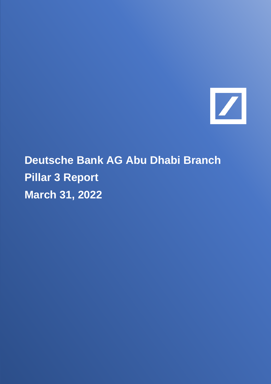

**Deutsche Bank AG Abu Dhabi Branch Pillar 3 Report March 31, 2022**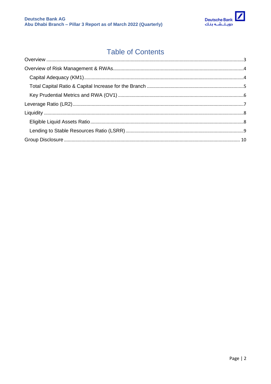

## **Table of Contents**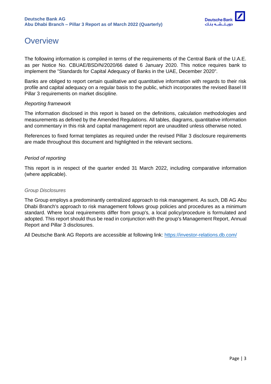

# <span id="page-2-0"></span>**Overview**

The following information is compiled in terms of the requirements of the Central Bank of the U.A.E. as per Notice No. CBUAE/BSD/N/2020/66 dated 6 January 2020. This notice requires bank to implement the "Standards for Capital Adequacy of Banks in the UAE, December 2020".

Banks are obliged to report certain qualitative and quantitative information with regards to their risk profile and capital adequacy on a regular basis to the public, which incorporates the revised Basel III Pillar 3 requirements on market discipline.

#### *Reporting framework*

The information disclosed in this report is based on the definitions, calculation methodologies and measurements as defined by the Amended Regulations. All tables, diagrams, quantitative information and commentary in this risk and capital management report are unaudited unless otherwise noted.

References to fixed format templates as required under the revised Pillar 3 disclosure requirements are made throughout this document and highlighted in the relevant sections.

#### *Period of reporting*

This report is in respect of the quarter ended 31 March 2022, including comparative information (where applicable).

#### *Group Disclosures*

The Group employs a predominantly centralized approach to risk management. As such, DB AG Abu Dhabi Branch's approach to risk management follows group policies and procedures as a minimum standard. Where local requirements differ from group's, a local policy/procedure is formulated and adopted. This report should thus be read in conjunction with the group's Management Report, Annual Report and Pillar 3 disclosures.

All Deutsche Bank AG Reports are accessible at following link:<https://investor-relations.db.com/>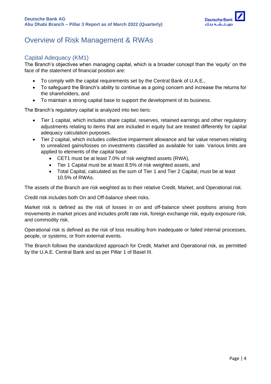

## <span id="page-3-0"></span>Overview of Risk Management & RWAs

### <span id="page-3-1"></span>Capital Adequacy (KM1)

The Branch's objectives when managing capital, which is a broader concept than the 'equity' on the face of the statement of financial position are:

- To comply with the capital requirements set by the Central Bank of U.A.E.,
- To safeguard the Branch's ability to continue as a going concern and increase the returns for the shareholders, and
- To maintain a strong capital base to support the development of its business.

The Branch's regulatory capital is analyzed into two tiers:

- Tier 1 capital, which includes share capital, reserves, retained earnings and other regulatory adjustments relating to items that are included in equity but are treated differently for capital adequacy calculation purposes.
- Tier 2 capital, which includes collective impairment allowance and fair value reserves relating to unrealized gains/losses on investments classified as available for sale. Various limits are applied to elements of the capital base:
	- CET1 must be at least 7.0% of risk weighted assets (RWA),
	- Tier 1 Capital must be at least 8.5% of risk weighted assets, and
	- Total Capital, calculated as the sum of Tier 1 and Tier 2 Capital, must be at least 10.5% of RWAs.

The assets of the Branch are risk weighted as to their relative Credit, Market, and Operational risk.

Credit risk includes both On and Off-balance sheet risks.

Market risk is defined as the risk of losses in on and off-balance sheet positions arising from movements in market prices and includes profit rate risk, foreign exchange risk, equity exposure risk, and commodity risk.

Operational risk is defined as the risk of loss resulting from inadequate or failed internal processes, people, or systems, or from external events.

The Branch follows the standardized approach for Credit, Market and Operational risk, as permitted by the U.A.E. Central Bank and as per Pillar 1 of Basel III.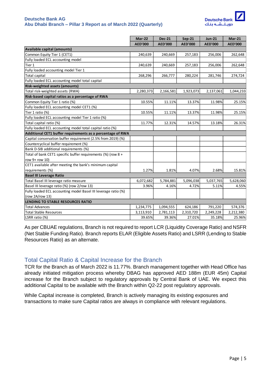#### **Deutsche Bank AG Abu Dhabi Branch – Pillar 3 Report as of March 2022 (Quarterly)**



|                                                                | Mar-22         | <b>Dec-21</b>  | <b>Sep-21</b>  | <b>Jun-21</b>  | <b>Mar-21</b>  |
|----------------------------------------------------------------|----------------|----------------|----------------|----------------|----------------|
|                                                                | <b>AED'000</b> | <b>AED'000</b> | <b>AED'000</b> | <b>AED'000</b> | <b>AED'000</b> |
| Available capital (amounts)                                    |                |                |                |                |                |
| Common Equity Tier 1 (CET1)                                    | 240,639        | 240,669        | 257,183        | 256,006        | 262,648        |
| Fully loaded ECL accounting model                              |                |                |                |                |                |
| Tier 1                                                         | 240,639        | 240,669        | 257,183        | 256,006        | 262,648        |
| Fully loaded accounting model Tier 1                           |                |                |                |                |                |
| <b>Total capital</b>                                           | 268,296        | 266,777        | 280,224        | 281,746        | 274,724        |
| Fully loaded ECL accounting model total capital                |                |                |                |                |                |
| Risk-weighted assets (amounts)                                 |                |                |                |                |                |
| Total risk-weighted assets (RWA)                               | 2,280,373      | 2,166,581      | 1,923,073      | 2,137,061      | 1,044,233      |
| Risk-based capital ratios as a percentage of RWA               |                |                |                |                |                |
| Common Equity Tier 1 ratio (%)                                 | 10.55%         | 11.11%         | 13.37%         | 11.98%         | 25.15%         |
| Fully loaded ECL accounting model CET1 (%)                     |                |                |                |                |                |
| Tier 1 ratio (%)                                               | 10.55%         | 11.11%         | 13.37%         | 11.98%         | 25.15%         |
| Fully loaded ECL accounting model Tier 1 ratio (%)             |                |                |                |                |                |
| Total capital ratio (%)                                        | 11.77%         | 12.31%         | 14.57%         | 13.18%         | 26.31%         |
| Fully loaded ECL accounting model total capital ratio (%)      |                |                |                |                |                |
| Additional CET1 buffer requirements as a percentage of RWA     |                |                |                |                |                |
| Capital conservation buffer requirement (2.5% from 2019) (%)   |                |                |                |                |                |
| Countercyclical buffer requirement (%)                         |                |                |                |                |                |
| Bank D-SIB additional requirements (%)                         |                |                |                |                |                |
| Total of bank CET1 specific buffer requirements (%) (row 8 +   |                |                |                |                |                |
| row 9+ row 10)                                                 |                |                |                |                |                |
| CET1 available after meeting the bank's minimum capital        |                |                |                |                |                |
| requirements (%)                                               | 1.27%          | 1.81%          | 4.07%          | 2.68%          | 15.81%         |
| <b>Basel III Leverage Ratio</b>                                |                |                |                |                |                |
| Total Basel III leverage ratio measure                         | 6,072,682      | 5,784,881      | 5,096,038      | 5,037,765      | 5,628,060      |
| Basel III leverage ratio (%) (row 2/row 13)                    | 3.96%          | 4.16%          | 4.72%          | 5.11%          | 4.55%          |
| Fully loaded ECL accounting model Basel III leverage ratio (%) |                |                |                |                |                |
| (row 2A/row 13)                                                |                |                |                |                |                |
| LENDING TO STABLE RESOURCES RATIO                              |                |                |                |                |                |
| <b>Total Advances</b>                                          | 1,234,775      | 1,094,555      | 624,186        | 791,220        | 574,376        |
| <b>Total Stable Resources</b>                                  | 3,113,910      | 2,781,113      | 2,310,720      | 2,249,228      | 2,212,380      |
| LSRR ratio (%)                                                 | 39.65%         | 39.36%         | 27.01%         | 35.18%         | 25.96%         |

As per CBUAE regulations, Branch is not required to report LCR (Liquidity Coverage Ratio) and NSFR (Net Stable Funding Ratio). Branch reports ELAR (Eligible Assets Ratio) and LSRR (Lending to Stable Resources Ratio) as an alternate.

### <span id="page-4-0"></span>Total Capital Ratio & Capital Increase for the Branch

TCR for the Branch as of March 2022 is 11.77%. Branch management together with Head Office has already initiated mitigation process whereby DBAG has approved AED 188m (EUR 45m) Capital increase for the Branch subject to regulatory approvals by Central Bank of UAE. We expect this additional Capital to be available with the Branch within Q2-22 post regulatory approvals.

While Capital increase is completed, Branch is actively managing its existing exposures and transactions to make sure Capital ratios are always in compliance with relevant regulations.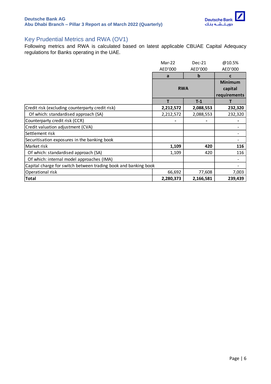

### <span id="page-5-0"></span>Key Prudential Metrics and RWA (OV1)

Following metrics and RWA is calculated based on latest applicable CBUAE Capital Adequacy regulations for Banks operating in the UAE.

|                                                                 | Mar-22     | Dec-21       | @10.5%         |
|-----------------------------------------------------------------|------------|--------------|----------------|
|                                                                 | AED'000    | AED'000      | AED'000        |
|                                                                 | a          | b            | C              |
|                                                                 |            |              | <b>Minimum</b> |
|                                                                 | <b>RWA</b> | capital      |                |
|                                                                 |            | requirements |                |
|                                                                 | т          | $T-1$        |                |
| Credit risk (excluding counterparty credit risk)                | 2,212,572  | 2,088,553    | 232,320        |
| Of which: standardised approach (SA)                            | 2,212,572  | 2,088,553    | 232,320        |
| Counterparty credit risk (CCR)                                  |            |              |                |
| Credit valuation adjustment (CVA)                               |            |              |                |
| Settlement risk                                                 |            |              |                |
| Securitisation exposures in the banking book                    |            |              |                |
| Market risk                                                     | 1,109      | 420          | 116            |
| Of which: standardised approach (SA)                            | 1,109      | 420          | 116            |
| Of which: internal model approaches (IMA)                       |            |              |                |
| Capital charge for switch between trading book and banking book |            |              |                |
| Operational risk                                                | 66,692     | 77,608       | 7,003          |
| <b>Total</b>                                                    | 2,280,373  | 2,166,581    | 239,439        |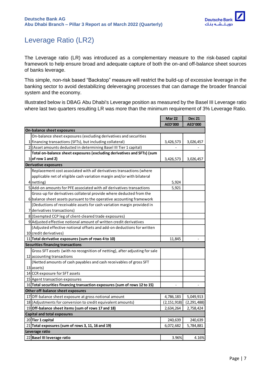

## <span id="page-6-0"></span>Leverage Ratio (LR2)

The Leverage ratio (LR) was introduced as a complementary measure to the risk-based capital framework to help ensure broad and adequate capture of both the on-and off-balance sheet sources of banks leverage.

This simple, non-risk based "Backstop" measure will restrict the build-up of excessive leverage in the banking sector to avoid destabilizing deleveraging processes that can damage the broader financial system and the economy.

Illustrated below is DBAG Abu Dhabi's Leverage position as measured by the Basel III Leverage ratio where last two quarters resulting LR was more than the minimum requirement of 3% Leverage Ratio.

|                                                                             | <b>Mar 22</b>  | <b>Dec 21</b>  |
|-----------------------------------------------------------------------------|----------------|----------------|
|                                                                             | <b>AED'000</b> | <b>AED'000</b> |
| On-balance sheet exposures                                                  |                |                |
| On-balance sheet exposures (excluding derivatives and securities            |                |                |
| 1  financing transactions (SFTs), but including collateral)                 | 3,426,573      | 3,026,457      |
| 2 (Asset amounts deducted in determining Basel III Tier 1 capital)          |                |                |
| Total on-balance sheet exposures (excluding derivatives and SFTs) (sum      |                |                |
| $3$ of row 1 and 2)                                                         | 3,426,573      | 3,026,457      |
| <b>Derivative exposures</b>                                                 |                |                |
| Replacement cost associated with all derivatives transactions (where        |                |                |
| applicable net of eligible cash variation margin and/or with bilateral      |                |                |
| $4$   netting)                                                              | 5,924          |                |
| 5 Add-on amounts for PFE associated with all derivatives transactions       | 5,921          |                |
| Gross-up for derivatives collateral provide where deducted from the         |                |                |
| 6 balance sheet assets pursuant to the operative accounting framework       |                |                |
| (Deductions of receivable assets for cash variation margin provided in      |                |                |
| 7 derivatives transactions)                                                 |                |                |
| 8 (Exempted CCP leg of client-cleared trade exposures)                      |                |                |
| 9 Adjusted effective notional amount of written credit derivatives          |                |                |
| (Adjusted effective notional offsets and add-on deductions for written      |                |                |
| 10 credit derivatives)                                                      |                |                |
| 11 Total derivative exposures (sum of rows 4 to 10)                         | 11,845         |                |
| <b>Securities financing transactions</b>                                    |                |                |
| Gross SFT assets (with no recognition of netting), after adjusting for sale |                |                |
| 12 accounting transactions                                                  |                |                |
| (Netted amounts of cash payables and cash receivables of gross SFT          |                |                |
| 13 assets)                                                                  |                |                |
| 14 CCR exposure for SFT assets                                              |                |                |
| 15 Agent transaction exposures                                              |                |                |
| 16 Total securities financing transaction exposures (sum of rows 12 to 15)  |                |                |
| Other off-balance sheet exposures                                           |                |                |
| 17 Off-balance sheet exposure at gross notional amount                      | 4,786,183      | 5,049,913      |
| 18 (Adjustments for conversion to credit equivalent amounts)                | (2, 151, 918)  | (2, 291, 488)  |
| 19 Off-balance sheet items (sum of rows 17 and 18)                          | 2,634,264      | 2,758,424      |
| <b>Capital and total exposures</b>                                          |                |                |
| 20 Tier 1 capital                                                           | 240,639        | 240,639        |
| 21 Total exposures (sum of rows 3, 11, 16 and 19)                           | 6,072,682      | 5,784,881      |
| Leverage ratio                                                              |                |                |
| 22 Basel III leverage ratio                                                 | 3.96%          | 4.16%          |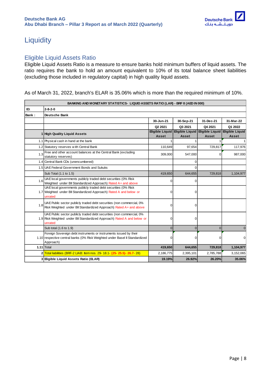

### <span id="page-7-0"></span>**Liquidity**

### <span id="page-7-1"></span>Eligible Liquid Assets Ratio

Eligible Liquid Assets Ratio is a measure to ensure banks hold minimum buffers of liquid assets. The ratio requires the bank to hold an amount equivalent to 10% of its total balance sheet liabilities (excluding those included in regulatory capital) in high quality liquid assets.

As of March 31, 2022, branch's ELAR is 35.06% which is more than the required minimum of 10%.

| BANKING AND MONETARY STATISTICS- LIQUID ASSETS RATIO (LAR) - BRF 8 (AED IN 000) |                                                                                                                                                               |                                 |                                 |                                 |                                 |  |
|---------------------------------------------------------------------------------|---------------------------------------------------------------------------------------------------------------------------------------------------------------|---------------------------------|---------------------------------|---------------------------------|---------------------------------|--|
| ID:                                                                             | $2 - 8 - 2 - 0$                                                                                                                                               |                                 |                                 |                                 |                                 |  |
| Bank:                                                                           | Deutsche Bank                                                                                                                                                 |                                 |                                 |                                 |                                 |  |
|                                                                                 |                                                                                                                                                               | 30-Jun-21                       | 30-Sep-21                       | 31-Dec-21                       | 31-Mar-22                       |  |
|                                                                                 |                                                                                                                                                               | Q2 2021                         | Q3 2021                         | Q4 2021                         | Q1 2022                         |  |
|                                                                                 | 1 High Quality Liquid Assets                                                                                                                                  | <b>Eligible Liquid</b><br>Asset | <b>Eligible Liquid</b><br>Asset | <b>Eligible Liquid</b><br>Asset | <b>Eligible Liquid</b><br>Asset |  |
|                                                                                 | 1.1 Physical cash in hand at the bank                                                                                                                         |                                 |                                 |                                 | $\mathbf{1}$                    |  |
|                                                                                 | 1.2 Statutory reserves with Central Bank                                                                                                                      | 110,649                         | 97,654                          | 729,817                         | 117,976                         |  |
| 1.3                                                                             | Free and other account balances at the Central Bank (excluding<br>statutory reserves)                                                                         | 309,000                         | 547,000                         | 0                               | 987,000                         |  |
|                                                                                 | 1.4 Central Bank CDs (unencumbered)                                                                                                                           |                                 | $\Omega$                        |                                 |                                 |  |
|                                                                                 | 1.5 UAE Federal Government Bonds and Sukuks                                                                                                                   |                                 |                                 |                                 |                                 |  |
|                                                                                 | Sub Total (1.1 to 1.5)                                                                                                                                        | 419,650                         | 644,655                         | 729,818                         | 1,104,977                       |  |
| 1.6                                                                             | UAE local governments publicly traded debt securities (0% Risk<br>Weighted under Bll Standardized Approach) Rated A+ and above                                | 0                               | 0                               |                                 |                                 |  |
|                                                                                 | UAE local governments publicly traded debt securities (0% Risk<br>1.7 Weighted under Bll Standardized Approach) Rated A and below or<br>unrated               | $\Omega$                        | $\Omega$                        |                                 |                                 |  |
| 1.8                                                                             | UAE Public sector publicly traded debt securities (non commercial, 0%<br>Risk Weighted under Bll Standardized Approach) Rated A+ and above                    | 0                               | $\Omega$                        |                                 |                                 |  |
|                                                                                 | UAE Public sector publicly traded debt securities (non commercial, 0%<br>1.9 Risk Weighted under Bll Standardized Approach) Rated A and below or<br>unrated   | 0                               | $\Omega$                        |                                 |                                 |  |
|                                                                                 | Sub total (1.6 to 1.9)                                                                                                                                        | $\Omega$                        | $\Omega$                        | $\Omega$                        | 0                               |  |
|                                                                                 | Foreign Sovereign debt instruments or instruments issued by their<br>1.10 respective central banks (0% Risk Weighted under Basel II Standardized<br>Approach) | 0                               | 0                               | 0                               | 0                               |  |
|                                                                                 | $1.11$ Total                                                                                                                                                  | 419,650                         | 644,655                         | 729,818                         | 1,104,977                       |  |
|                                                                                 | 2 Total liabilities (BRF-2 LIAB: Item nos. 29- 18.1- (25- 25.5)- 26.7- 28)                                                                                    | 2,186,775                       | 2,395,101                       | 2,785,788                       | 3,152,065                       |  |
|                                                                                 | 3 Eligible Liquid Assets Ratio (ELAR)                                                                                                                         | 19.19%                          | 26.92%                          | 26.20%                          | 35.06%                          |  |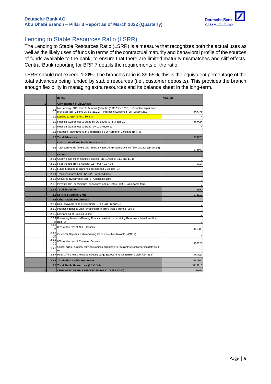

### <span id="page-8-0"></span>Lending to Stable Resources Ratio (LSRR)

The Lending to Stable Resources Ratio (LSRR) is a measure that recognizes both the actual uses as well as the likely uses of funds in terms of the contractual maturity and behavioral profile of the sources of funds available to the bank, to ensure that there are limited maturity mismatches and cliff effects. Central Bank reporting for BRF 7 details the requirements of the ratio.

LSRR should not exceed 100%. The branch's ratio is 39.65%, this is the equivalent percentage of the total advances being funded by stable resources (i.e., customer deposits). This provides the branch enough flexibility in managing extra resources and its balance sheet in the long-term.

|                |              | <b>Items</b>                                                                                                   | <b>Amount</b> |
|----------------|--------------|----------------------------------------------------------------------------------------------------------------|---------------|
|                |              | <b>Computation of Advances</b>                                                                                 |               |
|                | 1.1          | Net Lending (BRF1 Item 7+8) minus {Specific (BRF-2: item 25.1) + Collective impairment                         |               |
|                |              | provision (BRF-2 items $25.2.1+25.2.2$ ) + interest in Suspense (BRF-2 item: $25.3$ )                          | 752429        |
|                |              | 1.2 Lending to NBFI (BRF 1, item 4)                                                                            | 0             |
|                |              | 1.3 Financial Guarantees & Stand-by LC Issued (BRF 3-Item 3.1)                                                 | 482346        |
|                |              | 1.4 Financial Guarantees & Stand -by LCs Received                                                              | 0             |
|                |              | 1.5 Interbank Placements with a remaining life of more than 3 months (BRF 9)                                   | 0             |
|                |              | 1.6 Total Advances                                                                                             | 1234775       |
| $\overline{2}$ |              | <b>Calculation of Net Stable Ressources</b>                                                                    |               |
|                |              | 2.1 Total own funds (BRF2 Liab: item 28 + item 26.7) + Gen provision (BRF-2 Liab: item 25.2.3)                 | 274509        |
|                |              | <b>Deduct:</b>                                                                                                 |               |
|                |              | 2.1.1 Goodwill and other intangible assets (BRF1 Assets: 11.3 and 11.4)                                        | 0             |
|                |              | 2.1.2 Fixed Assets (BRF1 Assets: $9.1 + 9.2 + 9.3 + 9.5$ )                                                     | 2399          |
|                |              | 2.1.3 Funds allocated to branches abroad (BRF1 Assets: 9.4)                                                    | 0             |
|                |              | 2.1.4 Treasury shares held / No INPUT required here                                                            | $\pmb{0}$     |
|                |              | 2.1.5 Unquoted Investments (BRF 5- Applicable items)                                                           | $\mathbf 0$   |
|                |              | 2.1.6 Investment in subsidiaries, associates and affiliates (BRF5-Applicable items)                            | 0             |
|                |              | 2.1.7 Total deduction                                                                                          | 2399          |
|                |              | 2.2 Net Free Capital Funds                                                                                     | 272110        |
|                |              | 2.3 Other stable resources:                                                                                    |               |
|                |              | 2.3.1 Non repayable head office funds (BRF2 Liab- Item 26.5)                                                   | 0             |
|                |              | 2.3.2 Interbank deposits with remaining life of more than 6 months (BRF 9)                                     | 0             |
|                |              | 2.3.3 Refinancing of Housing Loans                                                                             | 0             |
|                |              | 2.3.4 Borrow ing from non-Banking Financial Institutions remaining life of more than 6 months<br>$(a)$ (BRF 9) | 0             |
|                | 2.3.4<br>(b) | 85% of the rest of NBFI Deposits                                                                               | 185388        |
|                | 2.3.5<br>(a) | Customer Deposits with remaining life of more than 6 months (BRF 9)                                            | 0             |
|                | 2.3.5<br>(b) | 85% of the rest of Customer Deposits                                                                           | 1105328       |
|                | 2.3.6        | Capital market funding/ term borrow ings maturing after 6 months from reporting date (BRF<br>9)                | 0             |
|                |              | 2.3.7 Head Office loans tow ards meeting Large Exposure Funding (BRF 2 Liab- item 26.6)                        | 1551084       |
|                |              | 2.3.8 Total other stable resources                                                                             | 2841800       |
|                |              | 2.4 Total Stable Resources (2.2+2.3.8)                                                                         | 3113910       |
| 3              |              | LENDING TO STABLE RESOURCES RATIO (1.6/ 2.4*100)                                                               | 39.65         |